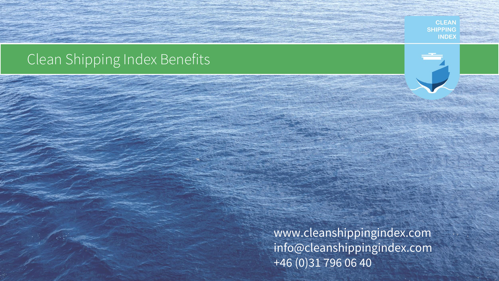### **SHIPPING INDEX**

# Clean Shipping Index Benefits

www.cleanshippingindex.com info@cleanshippingindex.com +46 (0)31 796 06 40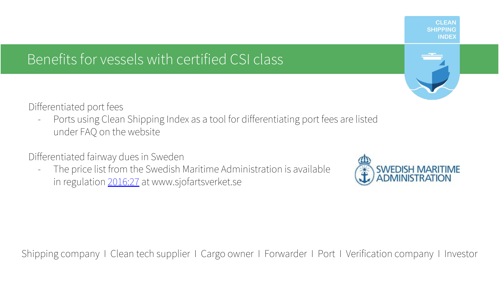# Benefits for vessels with certified CSI class



Differentiated port fees

- Ports using Clean Shipping Index as a tool for differentiating port fees are listed under FAQ on the website

Differentiated fairway dues in Sweden

- The price list from the Swedish Maritime Administration is available in regulation [2016:27](http://www.sjofartsverket.se/upload/SJOFS/SJ%C3%96FS%202017-27-ENG.PDF) at www.sjofartsverket.se

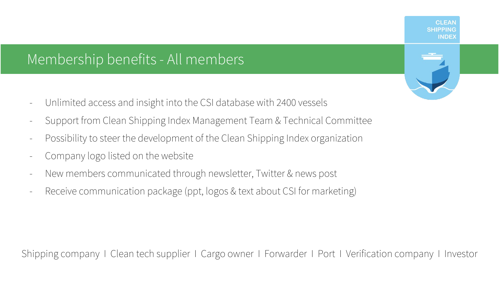# Membership benefits - All members

- Unlimited access and insight into the CSI database with 2400 vessels
- Support from Clean Shipping Index Management Team & Technical Committee
- Possibility to steer the development of the Clean Shipping Index organization
- Company logo listed on the website
- New members communicated through newsletter, Twitter & news post
- Receive communication package (ppt, logos & text about CSI for marketing)

Shipping company I Clean tech supplier I Cargo owner I Forwarder I Port I Verification company I Investor



**CLEAN SHIPPING INDEX**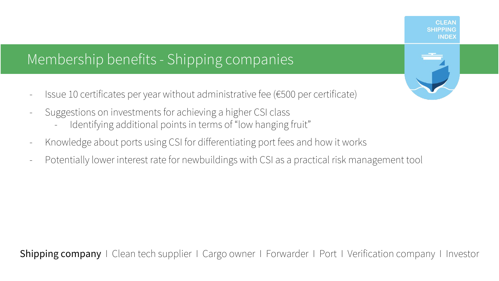

## Membership benefits - Shipping companies

- Issue 10 certificates per year without administrative fee (€500 per certificate)
- Suggestions on investments for achieving a higher CSI class
	- Identifying additional points in terms of "low hanging fruit"
- Knowledge about ports using CSI for differentiating port fees and how it works
- Potentially lower interest rate for newbuildings with CSI as a practical risk management tool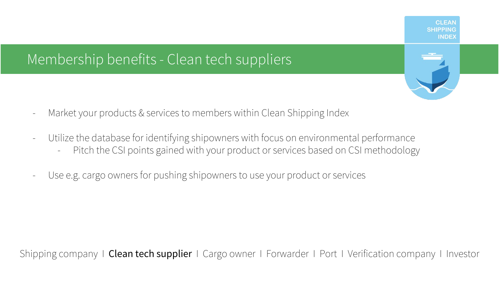

### Membership benefits - Clean tech suppliers

- Market your products & services to members within Clean Shipping Index
- Utilize the database for identifying shipowners with focus on environmental performance Pitch the CSI points gained with your product or services based on CSI methodology
- Use e.g. cargo owners for pushing shipowners to use your product or services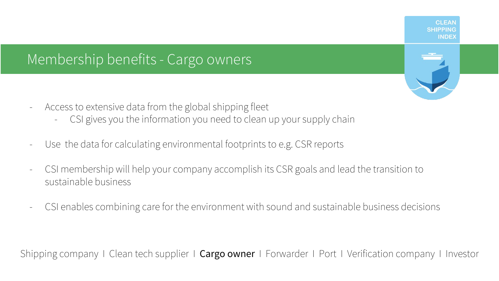### Membership benefits - Cargo owners

- Access to extensive data from the global shipping fleet
	- CSI gives you the information you need to clean up your supply chain
- Use the data for calculating environmental footprints to e.g. CSR reports
- CSI membership will help your company accomplish its CSR goals and lead the transition to sustainable business
- CSI enables combining care for the environment with sound and sustainable business decisions

Shipping company I Clean tech supplier  $\vert$  **Cargo owner** I Forwarder I Port I Verification company I Investor

**CLEAR SHIPPING INDEX**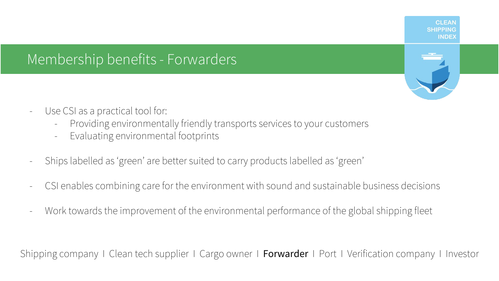#### **CLEAR SHIPPING INDEX**

### Membership benefits - Forwarders



- Use CSI as a practical tool for:
	- Providing environmentally friendly transports services to your customers
	- Evaluating environmental footprints
- Ships labelled as 'green' are better suited to carry products labelled as 'green'
- CSI enables combining care for the environment with sound and sustainable business decisions
- Work towards the improvement of the environmental performance of the global shipping fleet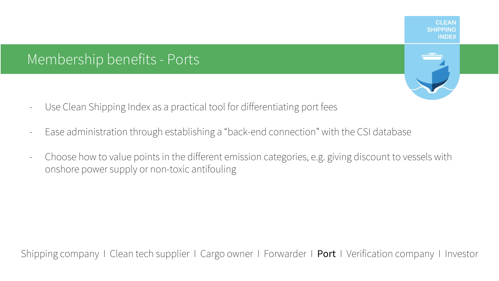### Membership benefits - Ports

- Use Clean Shipping Index as a practical tool for differentiating port fees
- Ease administration through establishing a "back-end connection" with the CSI database
- Choose how to value points in the different emission categories, e.g. giving discount to vessels with onshore power supply or non-toxic antifouling

**CLEAN SHIPPING INDEX**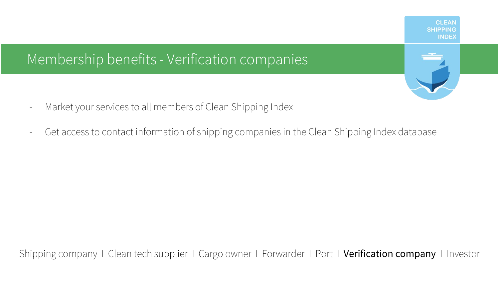**CLEAN SHIPPING INDEX** 

## Membership benefits - Verification companies

- Market your services to all members of Clean Shipping Index
- Get access to contact information of shipping companies in the Clean Shipping Index database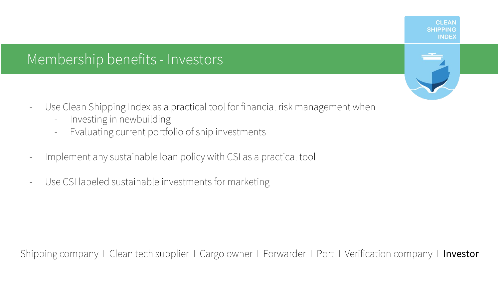### Membership benefits - Investors

- Use Clean Shipping Index as a practical tool for financial risk management when
	- Investing in newbuilding
	- Evaluating current portfolio of ship investments
- Implement any sustainable loan policy with CSI as a practical tool
- Use CSI labeled sustainable investments for marketing